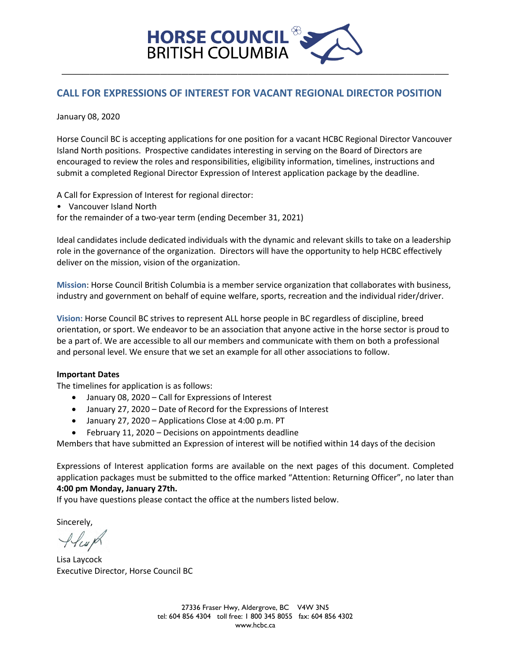

# **CALL FOR EXPRESSIONS OF INTEREST FOR VACANT REGIONAL DIRECTOR POSITION**

January 08, 2020

Horse Council BC is accepting applications for one position for a vacant HCBC Regional Director Vancouver Island North positions. Prospective candidates interesting in serving on the Board of Directors are encouraged to review the roles and responsibilities, eligibility information, timelines, instructions and submit a completed Regional Director Expression of Interest application package by the deadline.

A Call for Expression of Interest for regional director:

• Vancouver Island North

for the remainder of a two-year term (ending December 31, 2021)

Ideal candidates include dedicated individuals with the dynamic and relevant skills to take on a leadership role in the governance of the organization. Directors will have the opportunity to help HCBC effectively deliver on the mission, vision of the organization.

**Mission**: Horse Council British Columbia is a member service organization that collaborates with business, industry and government on behalf of equine welfare, sports, recreation and the individual rider/driver.

**Vision:** Horse Council BC strives to represent ALL horse people in BC regardless of discipline, breed orientation, or sport. We endeavor to be an association that anyone active in the horse sector is proud to be a part of. We are accessible to all our members and communicate with them on both a professional and personal level. We ensure that we set an example for all other associations to follow.

#### **Important Dates**

The timelines for application is as follows:

- January 08, 2020 Call for Expressions of Interest
- January 27, 2020 Date of Record for the Expressions of Interest
- January 27, 2020 Applications Close at 4:00 p.m. PT
- February 11, 2020 Decisions on appointments deadline

Members that have submitted an Expression of interest will be notified within 14 days of the decision

Expressions of Interest application forms are available on the next pages of this document. Completed application packages must be submitted to the office marked "Attention: Returning Officer", no later than **4:00 pm Monday, January 27th.** 

If you have questions please contact the office at the numbers listed below.

Sincerely,

Alcup

Lisa Laycock Executive Director, Horse Council BC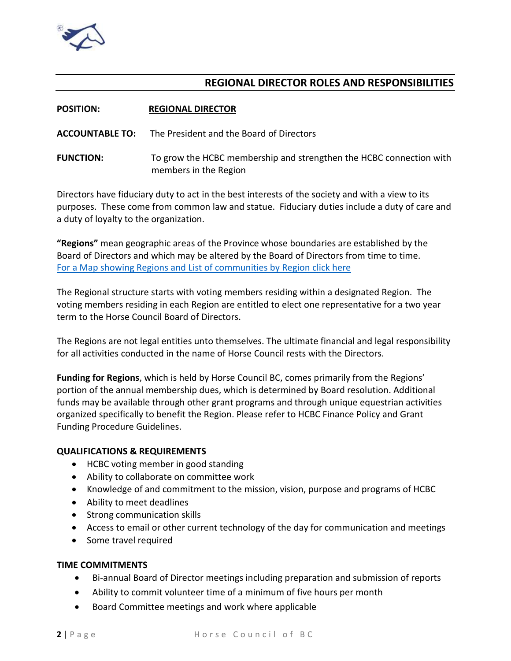

# **REGIONAL DIRECTOR ROLES AND RESPONSIBILITIES**

| <b>POSITION:</b> | <b>REGIONAL DIRECTOR</b> |
|------------------|--------------------------|
|                  |                          |

**ACCOUNTABLE TO:** The President and the Board of Directors

**FUNCTION:** To grow the HCBC membership and strengthen the HCBC connection with members in the Region

Directors have fiduciary duty to act in the best interests of the society and with a view to its purposes. These come from common law and statue. Fiduciary duties include a duty of care and a duty of loyalty to the organization.

**"Regions"** mean geographic areas of the Province whose boundaries are established by the Board of Directors and which may be altered by the Board of Directors from time to time. [For a Map showing Regions and List of communities by Region click here](https://www.hcbc.ca/index.php/about/regions/) 

The Regional structure starts with voting members residing within a designated Region. The voting members residing in each Region are entitled to elect one representative for a two year term to the Horse Council Board of Directors.

The Regions are not legal entities unto themselves. The ultimate financial and legal responsibility for all activities conducted in the name of Horse Council rests with the Directors.

**Funding for Regions**, which is held by Horse Council BC, comes primarily from the Regions' portion of the annual membership dues, which is determined by Board resolution. Additional funds may be available through other grant programs and through unique equestrian activities organized specifically to benefit the Region. Please refer to HCBC Finance Policy and Grant Funding Procedure Guidelines.

## **QUALIFICATIONS & REQUIREMENTS**

- HCBC voting member in good standing
- Ability to collaborate on committee work
- Knowledge of and commitment to the mission, vision, purpose and programs of HCBC
- Ability to meet deadlines
- Strong communication skills
- Access to email or other current technology of the day for communication and meetings
- Some travel required

### **TIME COMMITMENTS**

- Bi-annual Board of Director meetings including preparation and submission of reports
- Ability to commit volunteer time of a minimum of five hours per month
- Board Committee meetings and work where applicable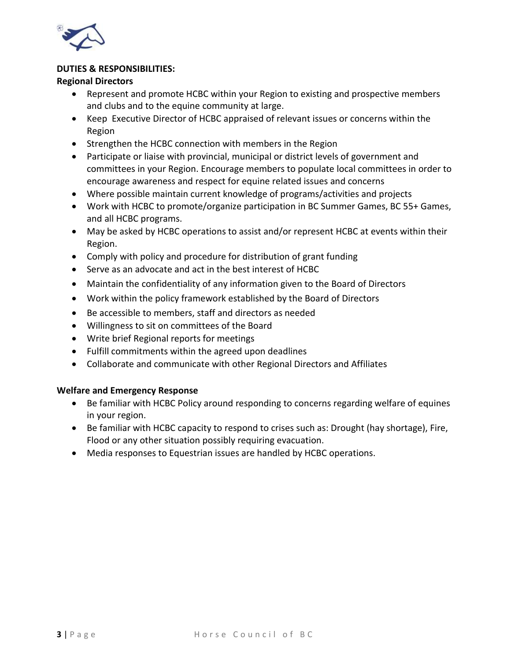

### **DUTIES & RESPONSIBILITIES:**

### **Regional Directors**

- Represent and promote HCBC within your Region to existing and prospective members and clubs and to the equine community at large.
- Keep Executive Director of HCBC appraised of relevant issues or concerns within the Region
- Strengthen the HCBC connection with members in the Region
- Participate or liaise with provincial, municipal or district levels of government and committees in your Region. Encourage members to populate local committees in order to encourage awareness and respect for equine related issues and concerns
- Where possible maintain current knowledge of programs/activities and projects
- Work with HCBC to promote/organize participation in BC Summer Games, BC 55+ Games, and all HCBC programs.
- May be asked by HCBC operations to assist and/or represent HCBC at events within their Region.
- Comply with policy and procedure for distribution of grant funding
- Serve as an advocate and act in the best interest of HCBC
- Maintain the confidentiality of any information given to the Board of Directors
- Work within the policy framework established by the Board of Directors
- Be accessible to members, staff and directors as needed
- Willingness to sit on committees of the Board
- Write brief Regional reports for meetings
- Fulfill commitments within the agreed upon deadlines
- Collaborate and communicate with other Regional Directors and Affiliates

## **Welfare and Emergency Response**

- Be familiar with HCBC Policy around responding to concerns regarding welfare of equines in your region.
- Be familiar with HCBC capacity to respond to crises such as: Drought (hay shortage), Fire, Flood or any other situation possibly requiring evacuation.
- Media responses to Equestrian issues are handled by HCBC operations.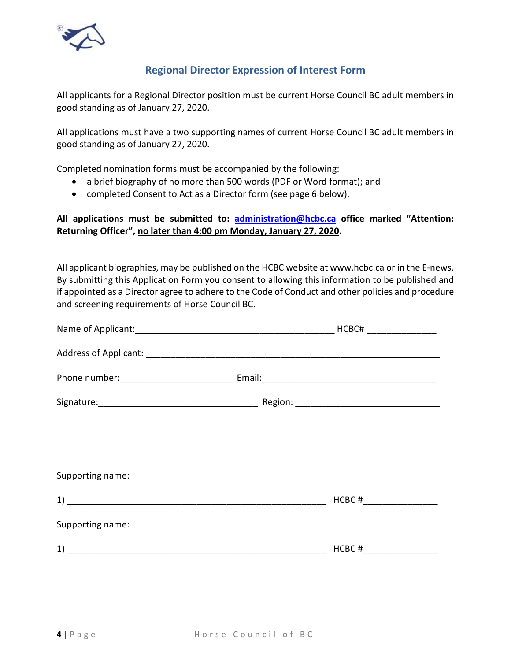

# **Regional Director Expression of Interest Form**

All applicants for a Regional Director position must be current Horse Council BC adult members in good standing as of January 27, 2020.

All applications must have a two supporting names of current Horse Council BC adult members in good standing as of January 27, 2020.

Completed nomination forms must be accompanied by the following:

- a brief biography of no more than 500 words (PDF or Word format); and
- completed Consent to Act as a Director form (see page 6 below).

## **All applications must be submitted to: [administration@hcbc.ca](mailto:administration@hcbc.ca) office marked "Attention: Returning Officer", no later than 4:00 pm Monday, January 27, 2020.**

All applicant biographies, may be published on the HCBC website at www.hcbc.ca or in the E-news. By submitting this Application Form you consent to allowing this information to be published and if appointed as a Director agree to adhere to the Code of Conduct and other policies and procedure and screening requirements of Horse Council BC.

| Supporting name: |           |
|------------------|-----------|
|                  |           |
| Supporting name: |           |
|                  | $HCBC \#$ |
|                  |           |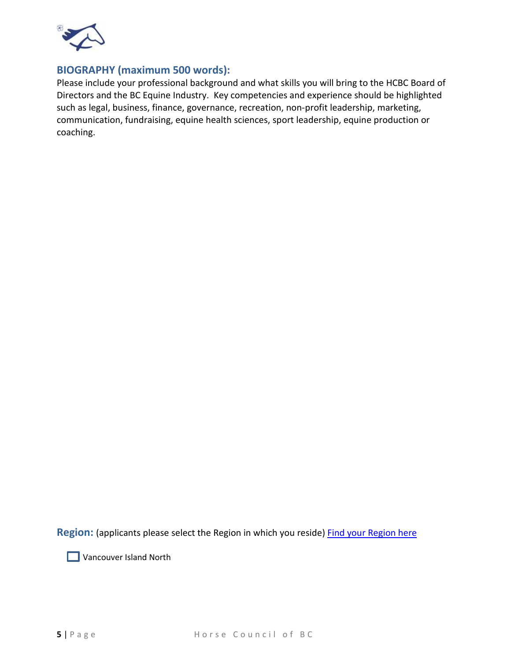

# **BIOGRAPHY (maximum 500 words):**

Please include your professional background and what skills you will bring to the HCBC Board of Directors and the BC Equine Industry. Key competencies and experience should be highlighted such as legal, business, finance, governance, recreation, non-profit leadership, marketing, communication, fundraising, equine health sciences, sport leadership, equine production or coaching.

Region: (applicants please select the Region in which you reside) [Find your Region here](https://www.hcbc.ca/index.php/about/regions/)

**Vancouver Island North**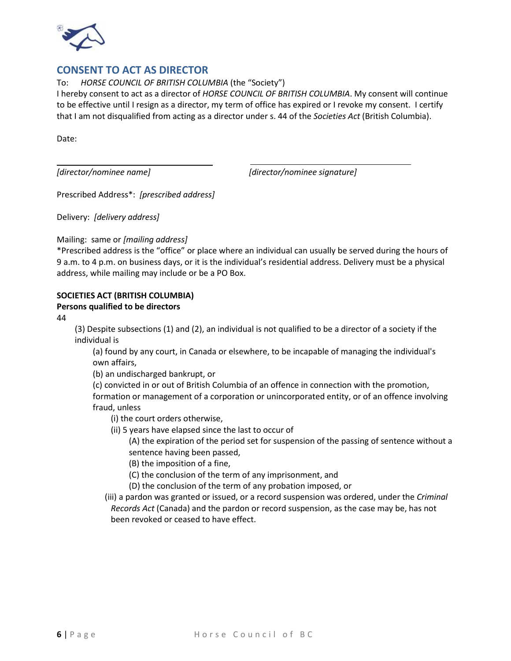

# **CONSENT TO ACT AS DIRECTOR**

To: *HORSE COUNCIL OF BRITISH COLUMBIA* (the "Society")

I hereby consent to act as a director of *HORSE COUNCIL OF BRITISH COLUMBIA*. My consent will continue to be effective until I resign as a director, my term of office has expired or I revoke my consent. I certify that I am not disqualified from acting as a director under s. 44 of the *Societies Act* (British Columbia).

Date:

*[director/nominee name] [director/nominee signature]* 

Prescribed Address\*: *[prescribed address]*

 $\mathcal{L}_\text{max}$  , where  $\mathcal{L}_\text{max}$  and  $\mathcal{L}_\text{max}$ 

Delivery: *[delivery address]*

#### Mailing: same or *[mailing address]*

\*Prescribed address is the "office" or place where an individual can usually be served during the hours of 9 a.m. to 4 p.m. on business days, or it is the individual's residential address. Delivery must be a physical address, while mailing may include or be a PO Box.

#### **SOCIETIES ACT (BRITISH COLUMBIA)**

#### **Persons qualified to be directors**

44

(3) Despite subsections (1) and (2), an individual is not qualified to be a director of a society if the individual is

(a) found by any court, in Canada or elsewhere, to be incapable of managing the individual's own affairs,

(b) an undischarged bankrupt, or

(c) convicted in or out of British Columbia of an offence in connection with the promotion, formation or management of a corporation or unincorporated entity, or of an offence involving fraud, unless

(i) the court orders otherwise,

(ii) 5 years have elapsed since the last to occur of

- (A) the expiration of the period set for suspension of the passing of sentence without a sentence having been passed,
- (B) the imposition of a fine,
- (C) the conclusion of the term of any imprisonment, and
- (D) the conclusion of the term of any probation imposed, or
- (iii) a pardon was granted or issued, or a record suspension was ordered, under the *Criminal Records Act* (Canada) and the pardon or record suspension, as the case may be, has not been revoked or ceased to have effect.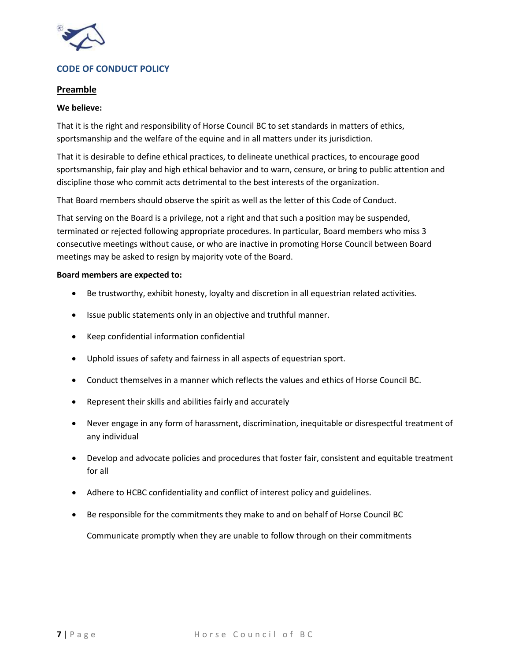

# **CODE OF CONDUCT POLICY**

### **Preamble**

#### **We believe:**

That it is the right and responsibility of Horse Council BC to set standards in matters of ethics, sportsmanship and the welfare of the equine and in all matters under its jurisdiction.

That it is desirable to define ethical practices, to delineate unethical practices, to encourage good sportsmanship, fair play and high ethical behavior and to warn, censure, or bring to public attention and discipline those who commit acts detrimental to the best interests of the organization.

That Board members should observe the spirit as well as the letter of this Code of Conduct.

That serving on the Board is a privilege, not a right and that such a position may be suspended, terminated or rejected following appropriate procedures. In particular, Board members who miss 3 consecutive meetings without cause, or who are inactive in promoting Horse Council between Board meetings may be asked to resign by majority vote of the Board.

#### **Board members are expected to:**

- Be trustworthy, exhibit honesty, loyalty and discretion in all equestrian related activities.
- Issue public statements only in an objective and truthful manner.
- Keep confidential information confidential
- Uphold issues of safety and fairness in all aspects of equestrian sport.
- Conduct themselves in a manner which reflects the values and ethics of Horse Council BC.
- Represent their skills and abilities fairly and accurately
- Never engage in any form of harassment, discrimination, inequitable or disrespectful treatment of any individual
- Develop and advocate policies and procedures that foster fair, consistent and equitable treatment for all
- Adhere to HCBC confidentiality and conflict of interest policy and guidelines.
- Be responsible for the commitments they make to and on behalf of Horse Council BC

Communicate promptly when they are unable to follow through on their commitments